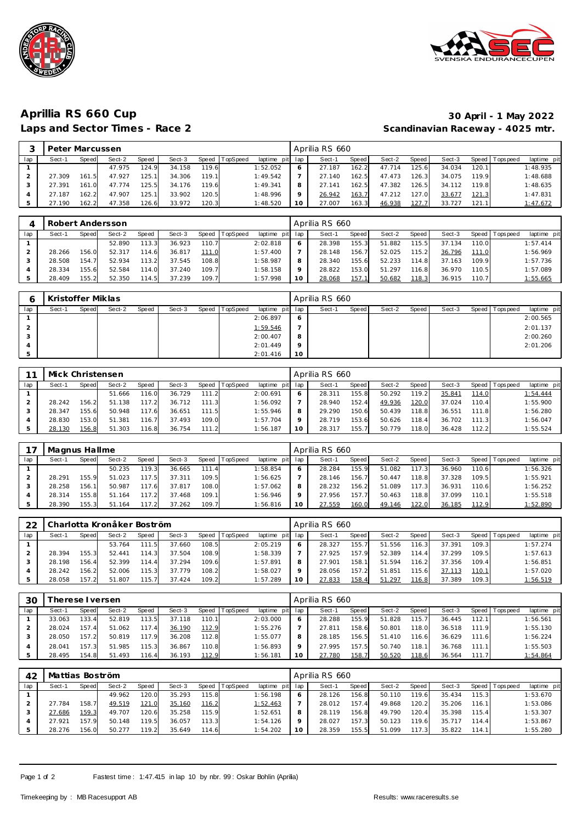



## **Aprillia RS 660 Cup 30 April - 1 May 2022** Scandinavian Raceway - 4025 mtr.

|     | Peter Marcussen |       |        |        |        |       |                  |             |         | Aprilia RS 660 |              |        |        |        |       |            |             |
|-----|-----------------|-------|--------|--------|--------|-------|------------------|-------------|---------|----------------|--------------|--------|--------|--------|-------|------------|-------------|
| lap | Sect-1          | Speed | Sect-2 | Speed  | Sect-3 |       | Speed   TopSpeed | laptime pit | lap     | Sect-1         | <b>Speed</b> | Sect-2 | Speed  | Sect-3 | Speed | Tops pee d | laptime pit |
|     |                 |       | 47.975 | 124.9  | 34.158 | 119.6 |                  | 1:52.052    | O       | 27.187         | 162.2        | 47.714 | 125.61 | 34.034 | 120.1 |            | 1:48.935    |
|     | 27.309          | 161.5 | 47.927 | 125.1  | 34.306 | 119.1 |                  | 1:49.542    |         | 27.140         | 162.5        | 47.473 | 126.31 | 34.075 | 119.9 |            | 1:48.688    |
|     | 27.391          | 161.0 | 47.774 | 125.5  | 34.176 | 119.6 |                  | 1:49.341    | 8       | 27.141         | 162.5        | 47.382 | 126.51 | 34.112 | 119.8 |            | 1:48.635    |
|     | 27.187          | 162.2 | 47.907 | 125.11 | 33.902 | 120.5 |                  | 1:48.996    | $\circ$ | 26.942         | 163.7        | 47.212 | 127.0  | 33.677 | 121.3 |            | 1:47.831    |
|     | .190            | 162.2 | 47.358 | 126.6  | 33.972 | 120.3 |                  | 1:48.520    | 10      | 27.007         | 163.3        | 46.938 | 127.   | 33.727 | 121.1 |            | 1:47.672    |

|     |        |       | Robert Andersson |       |        |       |                  |             |         | Aprilia RS 660 |       |        |        |        |       |                 |             |
|-----|--------|-------|------------------|-------|--------|-------|------------------|-------------|---------|----------------|-------|--------|--------|--------|-------|-----------------|-------------|
| lap | Sect-1 | Speed | Sect-2           | Speed | Sect-3 |       | Speed   TopSpeed | laptime pit | lap     | Sect-1         | Speed | Sect-2 | Speed  | Sect-3 |       | Speed Tops peed | laptime pit |
|     |        |       | 52.890           | 113.3 | 36.923 | 110.7 |                  | 2:02.818    | 6       | 28.398         | 155.3 | 51.882 | 115.51 | 37.134 | 110.0 |                 | 1:57.414    |
|     | 28.266 | 156.0 | 52.317           | 114.6 | 36.817 | 111.0 |                  | 1:57.400    |         | 28.148         | 156.7 | 52.025 | 115.21 | 36.796 | 111.0 |                 | 1:56.969    |
|     | 28.508 | 154.7 | 52.934           | 113.2 | 37.545 | 108.8 |                  | 1:58.987    | 8       | 28.340         | 155.6 | 52.233 | 114.8  | 37.163 | 109.9 |                 | 1:57.736    |
|     | 28.334 | 155.6 | 52.584           | 114.0 | 37.240 | 109.7 |                  | 1:58.158    | $\circ$ | 28.822         | 153.0 | 51.297 | 116.8  | 36.970 | 110.5 |                 | 1:57.089    |
|     | 28.409 | 155.2 | 52.350           | 114.5 | 37.239 | 109.7 |                  | 1:57.998    | 10      | 28.068         | 157.1 | 50.682 | 118.3  | 36.915 | 110.7 |                 | 1:55.665    |

|     | Kristoffer Miklas |       |        |       |        |                |                 |         | Aprilia RS 660 |       |        |       |        |                |             |
|-----|-------------------|-------|--------|-------|--------|----------------|-----------------|---------|----------------|-------|--------|-------|--------|----------------|-------------|
| lap | Sect-1            | Speed | Sect-2 | Speed | Sect-3 | Speed TopSpeed | laptime pit lap |         | Sect-1         | Speed | Sect-2 | Speed | Sect-3 | Speed Topspeed | laptime pit |
|     |                   |       |        |       |        |                | 2:06.897        | O       |                |       |        |       |        |                | 2:00.565    |
|     |                   |       |        |       |        |                | 1:59.546        |         |                |       |        |       |        |                | 2:01.137    |
|     |                   |       |        |       |        |                | 2:00.407        | 8       |                |       |        |       |        |                | 2:00.260    |
|     |                   |       |        |       |        |                | 2:01.449        | $\circ$ |                |       |        |       |        |                | 2:01.206    |
|     |                   |       |        |       |        |                | 2:01.416        | 10      |                |       |        |       |        |                |             |

| 11  | Mick Christensen |       |        |       |        |           |                 |             |         | Aprilia RS 660 |       |        |                    |        |                    |                   |             |
|-----|------------------|-------|--------|-------|--------|-----------|-----------------|-------------|---------|----------------|-------|--------|--------------------|--------|--------------------|-------------------|-------------|
| lap | Sect-1           | Speed | Sect-2 | Speed | Sect-3 | Speed     | <b>TopSpeed</b> | laptime pit | lap     | Sect-1         | Speed | Sect-2 | Speed              | Sect-3 |                    | Speed   Tops peed | laptime pit |
|     |                  |       | 51.666 | 116.0 | 36.729 | 111.2     |                 | 2:00.691    | $\circ$ | 28.31          | 155.8 | 50.292 | 119.2 <sub>1</sub> | 35.841 | 114.0              |                   | 1:54.444    |
|     | 28.242           | 156.2 | 51.138 | 117.2 | 36.712 | 111<br>.3 |                 | 1:56.092    |         | 28.940         | 152.4 | 49.936 | 120.0              | 37.024 | 110.4 <sub>1</sub> |                   | 1:55.900    |
|     | 28.347           | 155.6 | 50.948 | 117.6 | 36.651 | 111.5     |                 | 1:55.946    |         | 29.290         | 150.6 | 50.439 | 118.8              | 36.551 | 111.8              |                   | 1:56.280    |
|     | 28.830           | 153.0 | 51.381 | 116.7 | 37.493 | 109.0     |                 | 1:57.704    |         | 28.719         | 153.6 | 50.626 | 118.4              | 36.702 | 111.3              |                   | 1:56.047    |
|     | 28.130           | 156.8 | 51.303 | 116.8 | 36.754 | 111.2     |                 | 1:56.187    |         | 28.317         | 155.7 | 50.779 | 118.01             | 36.428 | 112.2              |                   | 1:55.524    |

|     | Magnus Hallme |        |        |       |        |                        |                |             |         | Aprilia RS 660 |       |        |        |        |       |            |             |
|-----|---------------|--------|--------|-------|--------|------------------------|----------------|-------------|---------|----------------|-------|--------|--------|--------|-------|------------|-------------|
| lap | Sect-1        | Speed  | Sect-2 | Speed | Sect-3 |                        | Speed TopSpeed | laptime pit | lap     | Sect-1         | Speed | Sect-2 | Speed  | Sect-3 | Speed | T ops peed | laptime pit |
|     |               |        | 50.235 | 119.3 | 36.665 | 111.<br>$\overline{A}$ |                | : 58.854    | 6       | 28.284         | 155.9 | 51.082 | 117.31 | 36.960 | 110.6 |            | 1:56.326    |
|     | 28.291        | 155.9  | 51.023 | 117.5 | 37.311 | 109.5                  |                | 1:56.625    |         | 28.146         | 156.7 | 50.447 | 118.8  | 37.328 | 109.5 |            | 1:55.921    |
|     | 28.258        | 156.1. | 50.987 | 117.6 | 37.817 | 108.0                  |                | 1:57.062    | 8       | 28.232         | 156.2 | 51.089 | 117.3  | 36.931 | 110.6 |            | 1:56.252    |
|     | 28.314        | 155.8  | 51.164 | 117.2 | 37.468 | 109.1                  |                | : 56.946    | $\circ$ | 27.956         | 157.7 | 50.463 | 118.81 | 37.099 | 110.1 |            | 1:55.518    |
|     | 28.390        | 155.3  | 51.164 | 117.2 | 37.262 | 109.7                  |                | 1:56.816    | 10      | 27.559         | 160.0 | 49.146 | 122.0  | 36.185 | 112.9 |            | 1:52.890    |

| 22  |        |       | Charlotta Kronåker Boström |       |        |       |          |                 |              | Aprilia RS 660 |       |        |                    |        |       |                   |             |
|-----|--------|-------|----------------------------|-------|--------|-------|----------|-----------------|--------------|----------------|-------|--------|--------------------|--------|-------|-------------------|-------------|
| lap | Sect-1 | Speed | Sect-2                     | Speed | Sect-3 | Speed | TopSpeed | laptime pit lap |              | Sect-1         | Speed | Sect-2 | Speed              | Sect-3 |       | Speed   Tops peed | laptime pit |
|     |        |       | 53.764                     | 111.5 | 37.660 | 108.5 |          | 2:05.219        | <sub>6</sub> | 28.327         | 155.7 | 51.556 | 116.3 <sub>1</sub> | 37.391 | 109.3 |                   | 1:57.274    |
|     | 28.394 | 155.3 | 52.441                     | 114.3 | 37.504 | 108.9 |          | 1:58.339        |              | 27.925         | 157.9 | 52.389 | 114.4              | 37.299 | 109.5 |                   | 1:57.613    |
|     | 28.198 | 156.4 | 52.399                     | 114.4 | 37.294 | 109.6 |          | 1:57.891        | 8            | 27.901         | 158.1 | 51.594 | 116.2              | 37.356 | 109.4 |                   | 1:56.851    |
|     | 28.242 | 156.2 | 52.006                     | 115.3 | 37.779 | 108.2 |          | 1:58.027        | $\circ$      | 28.056         | 157.2 | 51.851 | 115.61             | 37.113 | 110.1 |                   | 1:57.020    |
|     | 28.058 | 157.2 | 51.807                     | 115.7 | 37.424 | 109.2 |          | 1:57.289        | 10           | 27.833         | 158.4 | 51.297 | 116.8              | 37.389 | 109.3 |                   | 1:56.519    |

| 30  |        | herese I versen |        |       |        |       |                |             |     | Aprilia RS 660 |       |        |        |        |                    |            |             |
|-----|--------|-----------------|--------|-------|--------|-------|----------------|-------------|-----|----------------|-------|--------|--------|--------|--------------------|------------|-------------|
| lap | Sect-1 | Speed           | Sect-2 | Speed | Sect-3 |       | Speed TopSpeed | laptime pit | lap | Sect-          | Speed | Sect-2 | Speed  | Sect-3 | Speed              | Tops pee d | laptime pit |
|     | 33.063 | 133.4           | 52.819 | 113.5 | 37.118 | 110.1 |                | 2:03.000    | O   | 28.288         | 155.9 | 51.828 | 115.7  | 36.445 | 112.1              |            | 1:56.561    |
|     | 28.024 | 157.4           | 51.062 | 117.4 | 36.190 | 112.9 |                | 1:55.276    |     | 27.811         | 158.6 | 50.801 | 118.0  | 36.518 | 111.9              |            | 1:55.130    |
|     | 28.050 | 157.2           | 50.819 | 117.9 | 36.208 | 112.8 |                | 1:55.077    | 8   | 28.185         | 156.5 | 51.410 | 116.61 | 36.629 | 111.61             |            | 1:56.224    |
|     | 28.041 | 157.3           | 51.985 | 115.3 | 36.867 | 110.8 |                | 1:56.893    | Q   | 27.995         | 157.5 | 50.740 | 118.1. | 36.768 | 111.1              |            | 1:55.503    |
|     | 28.495 | 154.8           | 51.493 | 116.4 | 36.193 | 112.9 |                | 1:56.181    | 10  | 27.780         | 158.7 | 50.520 | 118.6  | 36.564 | 111.7 <sub>1</sub> |            | 1:54.864    |

| 42  | Mattias Boström |       |        |        |        |       |                |                 |     | Aprilia RS 660 |       |        |        |        |       |            |             |
|-----|-----------------|-------|--------|--------|--------|-------|----------------|-----------------|-----|----------------|-------|--------|--------|--------|-------|------------|-------------|
| lap | Sect-1          | Speed | Sect-2 | Speed  | Sect-3 |       | Speed TopSpeed | laptime pit     | lap | Sect-          | Speed | Sect-2 | Speed  | Sect-3 | Speed | Tops pee d | laptime pit |
|     |                 |       | 49.962 | 120.0  | 35.293 | 115.8 |                | 1:56.198        | O   | 28.126         | 156.8 | 50.110 | 119.6  | 35.434 | 115.3 |            | 1:53.670    |
|     | 27.784          | 158.7 | 49.519 | 121.0  | 35.160 | 116.2 |                | <u>1:52.463</u> |     | 28.012         | 157.4 | 49.868 | 120.2  | 35.206 | 116.1 |            | 1:53.086    |
|     | 27.686          | 159.3 | 49.707 | 120.6  | 35.258 | 115.9 |                | 1:52.651        | 8   | 28.119         | 156.8 | 49.790 | 120.4  | 35.398 | 115.4 |            | 1:53.307    |
|     | 27.921          | 157.9 | 50.148 | 119.51 | 36.057 | 113.3 |                | 1:54.126        | Q   | 28.027         | 157.3 | 50.123 | 119.61 | 35.717 | 114.4 |            | 1:53.867    |
|     | 28.276          | 156.0 | 50.277 | 119.2  | 35.649 | 114.6 |                | 1:54.202        | 10  | 28.359         | 155.5 | 51.099 |        | 35.822 | 114.1 |            | 1:55.280    |

Page 1 of 2 Fastest time: 1:47.415 in lap 10 by nbr. 99: Oskar Bohlin (Aprilia)